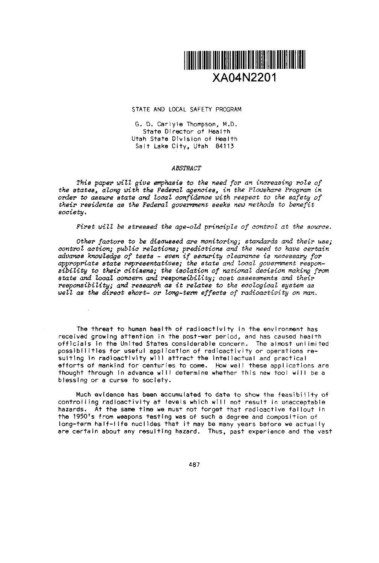

#### STATE AND LOCAL SAFETY PROGRAM

G. D. Carlyle Thompson, M.D. State Director of Health Utah State Division of Health Salt Lake City, Utah 84113

### *ABSTRACT*

*This paper will give emphasis to the need for an increasing role of the states, along with the Federal agencies, in the Powshare Program* in *order to assure* state and local *confidence with respect to the safety f* their residents *as the Federal government seeks new methods to benefit society.*

*First will be stressed the age-old principle of control at the source.*

Other *factors to be discussed are monitoring; standards* and their use; control action; public *relations predictions and* the need *to have certain advance knowledge of tests - even if security clearance is necessary for appropriate state representatives; the state and ocal government respon*sibiZity *to their citizens;* the iolation *of national decision making from* state and ocal concern and responsibility; cost assessments and their *responsibility; and research as it relates to the ecological system as* well as the direct short- or long-term effects of radioactivity on man.

The threat to human health of radioactivity in the environment has received grow Ing attention in the post-war period, and has caused health officials in the United States considerable concern. The almost unlimited possibilities for useful application of radioactivity or operations resulting in radioactivity will attract the intellectual and practical efforts of mankind for centuries to come. How well these applications are thought through in advance will determine whether this new tool will be a blessing or a curse to society.

Much evidence has been accumulated to date to show the feasibility of controlling radioactivity at levels which will not result in unacceptable hazards. At the same time we must not forget that radioactive fallout in the 1950's from weapons testing was of such a degree and composition of long-term half-life nucildes that It may be many years before we actually are certain about any resulting hazard. Thus, past experience and the vast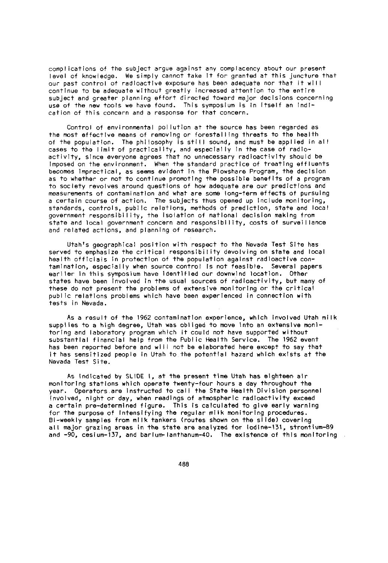complications of the subject argue against any complacency about our present level of knowledge. We simply cannot take It for granted at this juncture that our past control of radioactive exposure has been adequate nor that It will continue to be adequate without greatly increased attention to the entire subject and greater planning effort directed toward major decisions concerning use of the new tools we have found. This symposium Is in Itself an Indication of this concern and a response for that concern.

Control of environmental pollution at the source has been regarded as the most effective means of removing or forestalling threats to the health of the population. The philosophy Is still sound, and must be applied in all cases to the limit of practicality, and especially In the case of radioactivity, since everyone agrees that no unnecessary radioactivity should be Imposed on the environment. When the standard practice of treating effluents becomes Impractical, as seems evident In the Plowshare Program, the decision as to whether or not to continue promoting the possible benefits of a program to society revolves around questions of how adequate are our predictions and measurements of contamination and what are some long-term effects of pursuing a certain course of action. The subjects thus opened up Include monitoring, standards, controls, public relations, methods of prediction, state and local government responsibility, the Isolation of national decision making from state and local government concern and responsibility, costs of surveillance and related actions, and planning of research.

Utah's geographical position with respect to the Nevada Test Site has served to emphasize the critical responsibility devolving on state and local health officials in protection of the population against radioactive contamination, especially when source control Is not feasible. Several papers eariler In this symposium have identified our downwind location. Other states have been involved in the usual sources of radioactivity, but many of these do not present the problems of extensive monitoring or the critical public relations problems which have been experienced in connection with tests in Nevada.

As a result of the 1962 contamination experience, which involved Utah milk supplies to a high degree, Utah was obliged to move into an extensive monitoring and laboratory program which it could not have supported without substantial financial help from the Public Health Service. The 962 event has been reported before and will not be elaborated here except to say that it has sensitized people in Utah to the potential hazard which exists at the Nevada Test Site.

As indicated by SLIDE 1, at the present time Utah has eighteen air monitoring stations which operate twenty-four hours a day throughout the year. Operators are instructed to call the State Health Division personnel involved, night or day, when readings of atmospheric radioactivity exceed a certain pre-determined figure. This is calculated to give early warning for the purpose of Intensifying the regular milk monitoring procedures. Bi-weekly samples from milk tankers (routes shown on the slide) covering all major grazing areas in the state are analyzed for iodine-131, strontium-89 and 90, cesium-137, and barium-lanthanum-40. The existence of this monitoring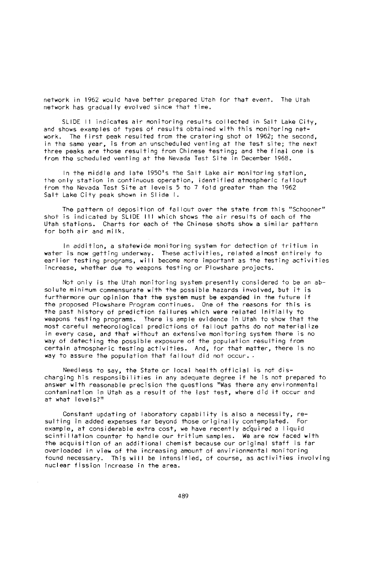network in 1962 would have better prepared Utah for that event. The Utah network has gradually evolved since that time.

SLIDE 11 indicates air monitoring results collected in Salt Lake City, and shows examples of types of results obtained with this monitoring network. The first peak resulted from the cratering shot of 1962; the second, in the same year, is from an unscheduled venting at the test site; the next three peaks are those resulting from Chinese testing; and the final one is from the scheduled venting at the Nevada Test Site in December 1968.

In the middle and late 1950's the Salt Lake air monitoring station, the only station in continuous operation, identified atmospheric fal lout from the Nevada Test Site at levels 5 to 7 fold greater than the 1962 Salt Lake City peak shown in Slide I.

The pattern of deposition of fallout over the state from this "Schooner" shot is indicated by SLIDE III which shows the air results of each of the Utah stations. Charts for each of the Chinese shots show a similar pattern for both air and milk.

In addition, a statewide monitoring system for detection of tritium in water is now getting underway. These activities, related almost entirely to earlier testing programs, will become more important as the testing activities increase, whether due to weapons testing or Plowshare projects.

Not only is the Utah monitoring system presently considered to be an absolute minimum commensurate with the possible hazards involved, but it is furthermore our opinion that the system must be expanded in the future if the proposed Plowshare Program continues. One of the reasons for this is the past history of prediction fa lures which were related initial ly to weapons testing programs. There is ample evidence in Utah to show that the most careful meteorological predictions of fallout paths do not materialize in every case, and that without an extensive monitoring system there is no way of detecting the possible exposure of the population resulting from certain atmospheric testing activities. And, for that matter, there is no way to assure the population that fallout did not occur..

Needless to say, the State or local health official is not discharging his responsibilities in any adequate degree if he is not prepared to answer with reasonable precision the questions "Was there any environmental contamination in Utah as a result of the last test, where did it occur and at what levels?"

Constant updating of laboratory capability is also a necessity, resulting in added expenses far beyond those originally contemplated. For example, at considerable extra cost, we have recently acquired a liquid scintillation counter to handle our tritium samples. We are now faced with the acquisition of an additional chemist because our original staff is far overloaded in view of the increasing amount of envirionmental monitoring found necessary. This will be intensified, of course, as activities involving nuclear fission increase in the area.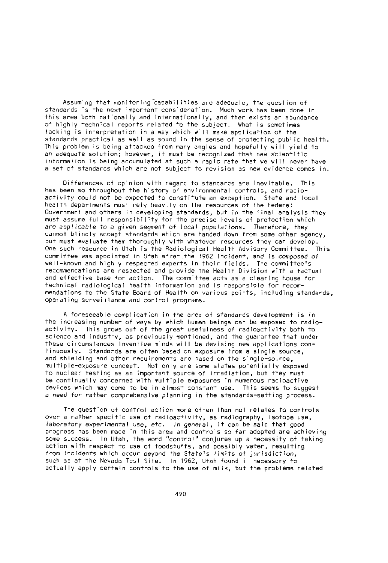Assuming that monitoring capabilities are adequate, the question of standards is the next important consideration. Much work has been done in this area both nationally and internationally, and ther exists an abundance of highly technical reports related to the subject. What is sometimes lacking is interpretation in a way which will make application of the standards practical as well as sound in the sense of protecting public health. This problem is being attacked from many angles and hopefully will yield to an adequate solution; however, it must be recognized that new scientific information is being accumulated at such a rapid rate that we will never have a set of standards which are not subject to revision as new evidence comes in.

Differences of opinion with regard to standards are inevitable. This has been so throughout the history of environmental controls, and radioactivity could not be expected to constitute an exception. State and local health departments must rely heavily on the resources of the Federal Government and others in developing standards, but in the final analysis they must assume full responsibility for the precise levels of protection which are applicable to a given segment of local populations. Therefore, they cannot blindly accept standards which are handed down from some other agency, but must evaluate them thoroughly with whatever resources they can develop. One such resource in Utah is the Radiological Health Advisory Committee. This committee was appointed in Utah after the *1962* incident, and is composed of well-known and highly respected experts in their fields. The committee's recommendations are respected and provide the Health Division with a factual and effective base for action. The committee acts as a clearing house for technical radiological health information and is responsible for recommendations to the State Board of Health on various points, including standards, operating surveillance and control programs.

A foreseeable complication in the area of standards development is in the increasing number of ways by which human beings can be exposed to radioactivity. This grows out of the great usefulness of radioactivity both to science and industry, as previously mentioned, and the guarantee that under these circumstances inventive minds will be devising new applications continuously. Standards are often based on exposure from a single source, and shielding and other requirements are based on the single-source, multiple-exposure concept. Not only are some states potentially exposed to nuclear testing as an important source of irradiation, but they must be continually concerned with multiple exposures in numerous radioactive devices which may come to be in almost constant use. This seems to suggest a need for rather comprehensive planning in the 5tandards-setting process.

The question of control action more often than not relates to controls over a rather specific use of radioactivity, as radiography, isotope use, laboratory experimental use, etc. *In* general, it can be said that good progress has been made in this area and controls so far adopted are achieving some success. In Utah, the word "control" conjures up a necessity of taking action with respect to use of foodstuffs, and possibly water, resulting from incidents which occur beyond the State's limits of *jurisdiction,* such as at the Nevada Test Site. In 1962, Utah found it necessary to actually apply certain controls to the use of milk, but the problems related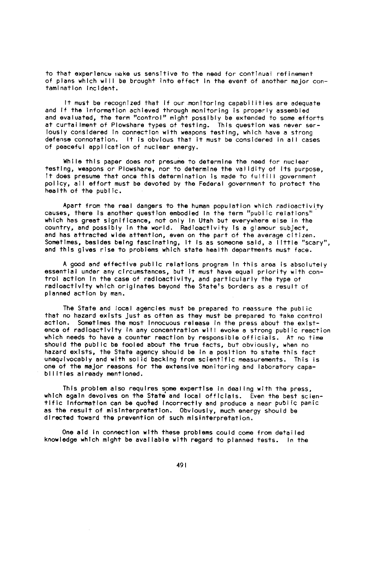to that experience make us sensitive to the need for continual refinement of plans which will be brought into effect in the event of another major contamination incident.

It must be recognized that if our monitoring capabilities are adequate and if the Information achieved through monitoring is properly assembled and evaluated, the term "control" might possibly be extended to some efforts at curtailment of Plowshare types of testing. This question was never ser-IOU51Y considered In connection with weapons testing, which have a strong defense connotation. It is obvious that it must be considered in all cases of peaceful application of nuclear energy.

While this paper does not presume to determine the need for nuclear testing, weapons or Plowshare, nor to determine the validity of its purpose, It does presume that once this determination is made to fulfill government policy, all effort must be devoted by the Federal government to protect the health of the public.

Apart from the real dangers to the human population which radioactivity causes, there Is another question embodied In the term "public relations" which has great significance, not only In Utah but everywhere else in the country, and possibly In the world. Radioactivity Is a glamour subject, and has attracted wide attention, even on the part of the average citizen. Sometimes, besides being fascinating, It Is as someone said, a little "scary", and this gives rise to problems which state health departments must face.

A good and effective public relations program In this area is absolutely essential under any circumstances, but It must have equal priority with control action In the case of radioactivity, and particularly the type of radioactivity which originates beyond the State's borders as a result of planned action by man.

The State and local agencies must be prepared to reassure the public that no hazard exists just as often as they must be prepared to take control action. Sometimes the most Innocuous release In the press about the existence of radioactivity In any concentration will evoke a strong public reaction which needs to have a counter reaction by responsible officials. At no time should the public be fooled about the true facts, but obviously, when no hazard exists, the State agency should be in a position to state this fact unequivocably and with solid backing from scientific measurements. This is one of the major reasons for the extensive monitoring and laboratory capabilities already mentioned.

This problem also requires some expertise in dealing with the press, which again devolves on the State and local officials. Even the best scientific Information can be quo+ed Incorrectly and produce a near public panic as the result of misinterpretation. Obviously, much energy should be directed toward the prevention of such misinterpretation.

One aid in connection wth these problems could come from detailed knowledge which mght be available with regard to planned tests. In the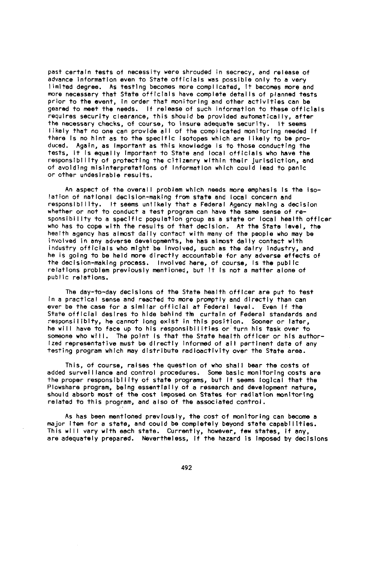past certain tests of necessity were shrouded in secrecy, and release of advance Information even to State officials was possible only to a very limited degree. As testing becomes more complicated, It becomes more and more necessary that State officials have complete details of planned tests prior to the event, in order that monitoring and other activities can be geared to meet the needs. If release of such nformation to these officials requires security clearance, this should be provided automatically, after the necessary checks, of course, to Insure adequate security. It seems likely that no one can provide all of the complicated monitoring needed If there Is no hint as to the specific Isotopes which are likely to be produced. Again, as Important as this knowledge Is to those conducting the tests, it Is equally Important to State and local officials who have the responsibility of protecting the citizenry within their urisdiction, and of avoiding misinterpretations of Information which could lead to panic or other undesirable results.

An aspect of the overall problem which needs more emphasis Is the Isolation of national decision-making from state and local concern and responsibility. It seems unlikely that a Federal Agency making a decision whether or not to conduct a test program can have the same sense of responsibillty to a specific population group as a state or local health officer who has to cope with the results of that decision. At the State level, the health agency has almost daily contact with many of the people who may be involved In any adverse developments, he has almost dally contact wth industry officials who might be involved, such as the dairy Industry, and he is going to be held more directly accountable for any adverse effects of the decision-making process. Involved here, of course, Is the public relations problem previously mentioned, but It Is not a matter alone of public relations.

The day-to-day decisions of the State health officer are put to test in a practical sense and reacted to more promptly and directly than can ever be the case for a similar official at Federal level. Even If the State official desires to hide behind the curtain of Federal standards and responsillbIty, he cannot long exist In this position. Sooner or later, he will have to face up to his responsibilities or turn his task over to someone who will. The point Is that the State health officer or his author ized representative must be directly informed of all pertinent data of any testing program which may distribute radioactivity over the State area.

This, of course, raises the question of who shall bear the costs of added surveillance and control procedures. Some basic monitoring costs are the proper responsibility of state programs, but It seems logical that the Plowshare program, being essentially of a research and development nature, should absorb most of the cost Imposed on States for radiation monitoring related to this program, and also of the associated control.

As has been mentioned previously, the cost of monitoring can become a major item for a state, and could be completely beyond state capabilities. This will vary with each state. Currently, however, few states, if any, are adequately prepared. Nevertheless, If the hazard is Imposed by decisions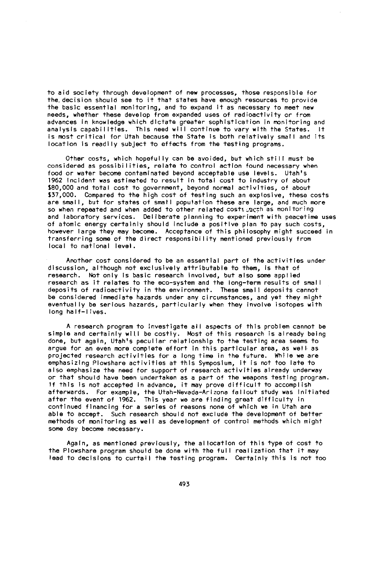to aid society through development of new processes, those responsible for the.decision should see to it that states have enough resources to provide the basic essential monitoring, and to expand it as necessary to meet new needs, whether these develop from expanded uses of radioactivity or from advances in knowledge which dictate greater sophistication in monitoring and analysis capabilities. This need will continue to vary with the States. It is most critical for Utah because the State is both relatively small and its location is readily subject to effects from the testing programs.

Other costs, which hopefully can be avoided, but which still must be considered as possibilities, relate to control action found necessary when food or water become contaminated beyond acceptable use levels. Utah's 1962 Incident was estimated to result in total cost to industry of about S80,000 and total cost to government, beyond normal activities, of about S37,000. Compared to the high cost of testing such an explosive, these costs are small, but for states of small population these are large, and much more so when repeated and when added to other related costs nech as monitoring and laboratory services. Deliberate planning to experiment with peacetime uses of atomic energy certainly should include a positive plan to pay such costs, however large they may become. Acceptance of this philosophy might succeed in transferring some of the direct responsibility mentioned previously from local to national level.

Another cost considered to be an essential part of the activities under discussion, although not exclusively attributable to them, is that of research. Not only Is basic research involved, but also some applied research as it relates to the eco-system and the long-term results of small deposits of radioactivity in the environment. These small deposits cannot be considered immediate hazards under any circumstances, and yet they might eventually be serious hazards, particularly when they involve isotopes with long half-lives.

A research program to investigate all aspects of this problem cannot be simple and certainly will be costly. Most of this research is already being done, but again, Utah's peculiar relationship to the testing area seems to argue for an even more complete effort in this particular area, as well as projected research activities for a long time in the future. While we are emphasizing Plowshare activities at this Symposium, it is not too late to also emphasize the need for support of research activities already underway or that should have been undertaken as a part of the weapons testing program. If this Is not accepted In advance, it may prove difficult to accomplish afterwards. For example, the Utah-Nevada-Arizona fallout study was initiated after the event of 1962. This year we are finding great difficulty in continued fnancing for a series of reasons none of which we in Utah are able to accept. Such research should not exclude the development of better methods of monitoring as well as development of control methods which might some day become necessary.

Again, as mentioned previously, the allocation of this type of cost to the Plowshare program should be done with the full realization that it may lead to decisions to curtail the testing program. Certainly this is not too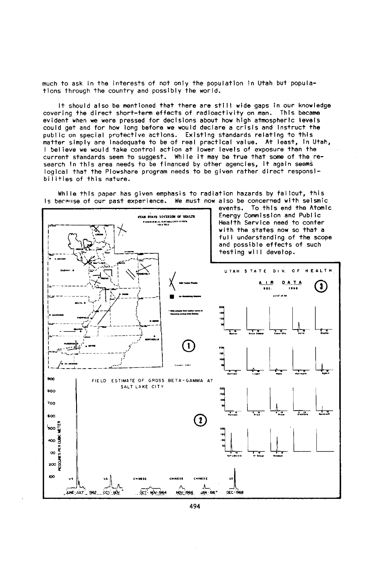much to ask in the interests of not only the population In Utah but populations through the country and possibly the world.

It should also be mentioned that there are still wide gaps in our knowledge covering the direct short-term effects of radioactivity on man. This became evident when we were pressed for decisions about how high atmospheric levels could get and for how long before we would declare a crisis and Instruct the public on special protective actions. Existing standards relating to this matter simply are inadequate to be of real practical value. At least, In Utah, I believe we would take control action at lower levels of exposure than the current standards seem to suggest. While it may be true that some of the research in this area needs to be financed by other agencies, it again seems logical that the Plowshare program needs to be given rather direct responsibilities of this nature.

While this paper has given emphasis to radiation hazards by fallout, this is because of our past experience. We must now also be concerned with seismic



494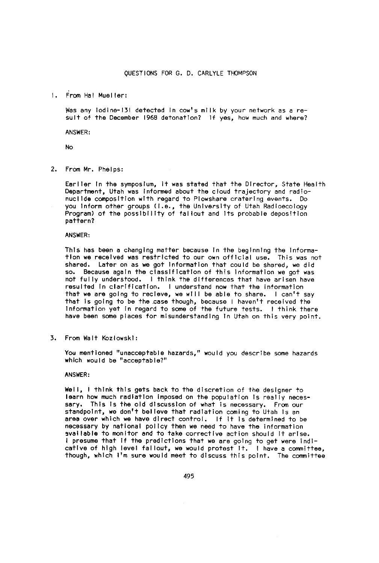1. rom Hal Mueller:

Was any Iodine-131 detected In cow's milk by your network as a result of the December 1968 detonation? If yes, how much and where?

ANSWER:

No

2. From Mr. Phelps:

Earlier In the symposium, It was stated that the Director, State Health Department, Utah was Informed about the cloud trajectory and radionucllde composition with regard to Plowshare cratering events. Do you Inform other groups (i.e., the University of Utah Radioecology<br>Program) of the possibility of fallout and its probable deposition pattern?

ANSWER:

This has been a changing matter because In the beginning the Information we received was restricted to our own official use. This was not shared. Later on as we got Information that could be shared, we did so. Because again the classification of this Information we got was not fully understood. I think the differences that have arisen have resulted In clarification. I understand now that the information that we are going to recleve, we will be able to share. I can't say that Is going to be the.case though, because I haven't received the Information yet In regard to some of the future tests. I think there have been some places for misunderstanding In Utah on this very point.

3. From Wait Kozlowski:

You mentioned "unacceptable hazards," would you describe some hazards which would be "acceptable?"

### ANSWER:

Well, I think this gets back to the discretion of the designer to learn how much radiation imposed on the population Is really necessary. This Is the old discussion of what is necessary. From our standpoint, we don't believe that radiation coming to Utah Is an area over which we have direct control. If it is determined to be necessary by national policy then we need to have the information available to monitor and to take corrective action should it arise. I presume that If the predictions that we are going to get were indicative of high level fallout, we would protest it. I have a committee, though, which I'm sure would meet to discuss this point. The committee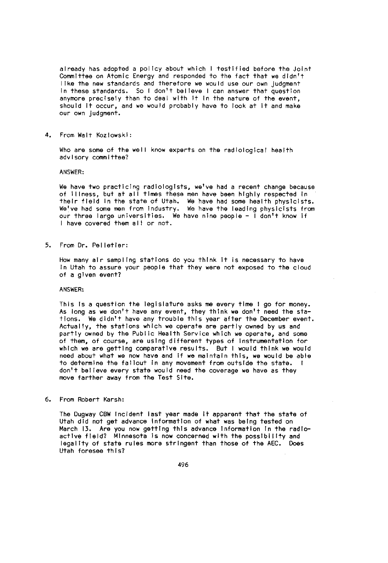already has adopted a policy about which I testified before the Joint Committee on Atomic Energy and responded to the fact that we didn't like the new standards and therefore we would use our own judgment in these standards. So I don't believe I can answer that question anymore precisely than to deal with It in the nature of the event, should It occur, and we would probably have to look at it and make our own judgment.

4. From Walt Kozlowski:

Who are some of the well know experts on the radiological health advisory committee?

ANSWER:

We have two practicing radiologists, we've had a recent change because of Illness, but at all times these men have been highly respected in their field In the state of Utah. We have had some health physicists. We've had some men from Industry. We have the leading physicists from our three large universities. We have nine people - I don't know if I have covered them all or not.

5. From Dr. Pelletier:

How many air sampling stations do you think It is necessary to have In Utah to assure your people that they were not exposed to the cloud of a given event?

ANSWER:

This Is a question the legislature asks me every time I go for money. As long as we don't have any event, they think we don't need the sta-tions. We didn't have any trouble this year after the December event. Actually, the stations which we operate are partly owned by us and partly owned by the Public Health Service which we operate, and some of them, of course, are using different types of Instrumentation for which we are getting comparative results. But I would think we would need about what we now have and if we maintain this, we would be able to determine the fallout In any movement from outside the state. I don't believe every state would need the coverage we have as they move farther away from the Test Site.

6. From Robert Karsh:

The Dugway CBW Incident last year made It apparent that the state of Utah did not got advance Information of what was being tested on March 13. Are you now getting this advance information in the radioactive field? Minnesota is now concerned with the possibility and legality of state rules more stringent than those of the AEC. Does Utah foresee this?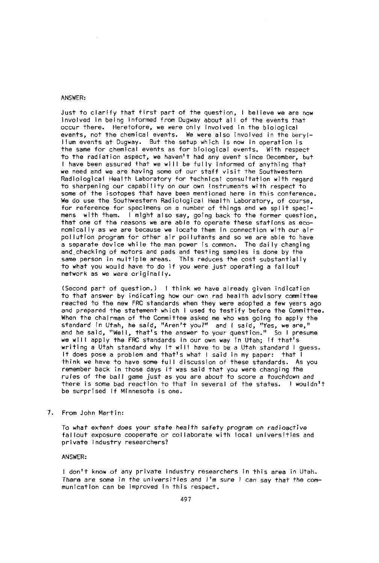# ANSWER:

Just to clarify that first part of the question, I believe we are now involved in being informed from Dugway about all of the events that occur there. Heretofore, we were only involved in the biological events, not the chemical events. We were also involved in the beryllium events at Dugway. But the setup which is now in operation is the same for chemical events as for biological events. With respect to the radiation aspect, we haven't had any event since December, but I have been assured that we will be fully informed of anything that we need and we are having some of our staff visit the Southwestern Radiological Health Laboratory for technical consultation with regard to sharpening our capability on our own instruments with respect to some of the isotopes that have been mentioned here in this conference. We do use the Southwestern Radiological Health Laboratory, of course, for reference for specimens on a number of things and we split specimens with them. I might also say, going back to the former question, that one of the reasons we are able to operate these stations as economically as we are because we locate them in connection with our air pollution program for other air pollutants and so we are able to have a separate device while the man power is common. The daily changing and-checking of motors and pads and testing samples is done by the same person in multiple areas. This reduces the cost substantially<br>to what you would have to do if you were just operating a fallout network as we were originally.

(Second part of question.) I think we have already given indication to that answer by indicating how our own rad health advisory committee reacted to the new FRC standards when they were adopted a few years ago and prepared the statement which I used to testify before the Committee. When the chairman of the Committee asked me who was going to apply the standard In Utah, he said, "Aren't you?" and I said, "Yes, we are," and he said, "Well, that's the answer to your question." So I presume we will apply the FRC standards in our own way in Utah; if that's writing a Utah standard why it will have to be a Utah standard I guess. It does pose a problem and that's what I said in my paper: that I think we have to have some full discussion of these standards. As you remember back in those days it was said that you were changing the rules of the ball game just as you are about to score a *touchdown* and there is some bad reaction to that in several of the states. I wouldn't be surprised if Minnesota is one.

7. From John Martin:

To what extent does your state health safety program on radioactive fallout exposure cooperate or collaborate with local universities and private industry researchers?

# ANSWER:

I don't know of any private industry researchers in this area in Utah. There are some in the *universities and I'm sure* I can say that the communication can be improved in this respect.